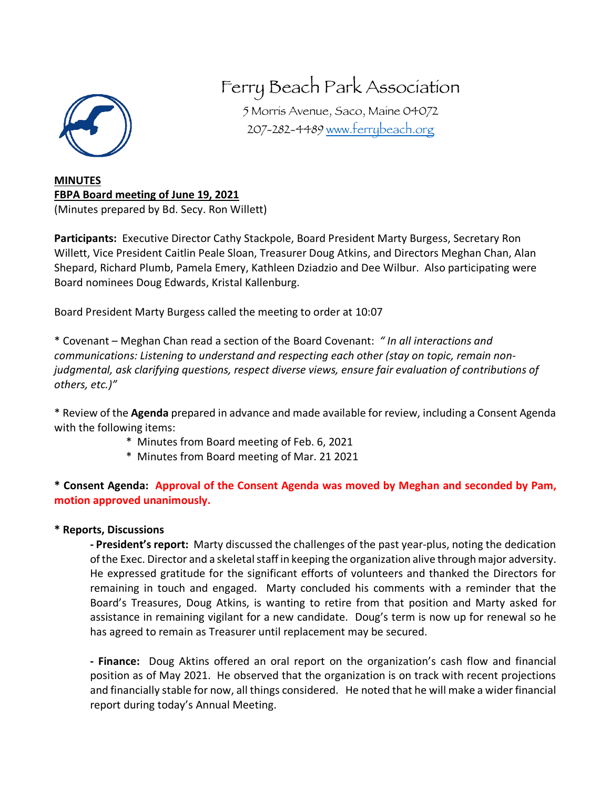

## Ferry Beach Park Association

5 Morris Avenue, Saco, Maine 04072 207-282-4489 www.ferrybeach.org

**MINUTES FBPA Board meeting of June 19, 2021** (Minutes prepared by Bd. Secy. Ron Willett)

**Participants:** Executive Director Cathy Stackpole, Board President Marty Burgess, Secretary Ron Willett, Vice President Caitlin Peale Sloan, Treasurer Doug Atkins, and Directors Meghan Chan, Alan Shepard, Richard Plumb, Pamela Emery, Kathleen Dziadzio and Dee Wilbur. Also participating were Board nominees Doug Edwards, Kristal Kallenburg.

Board President Marty Burgess called the meeting to order at 10:07

\* Covenant – Meghan Chan read a section of the Board Covenant: *" In all interactions and communications: Listening to understand and respecting each other (stay on topic, remain nonjudgmental, ask clarifying questions, respect diverse views, ensure fair evaluation of contributions of others, etc.)"*

\* Review of the **Agenda** prepared in advance and made available for review, including a Consent Agenda with the following items:

- \* Minutes from Board meeting of Feb. 6, 2021
- \* Minutes from Board meeting of Mar. 21 2021

**\* Consent Agenda: Approval of the Consent Agenda was moved by Meghan and seconded by Pam, motion approved unanimously.**

## **\* Reports, Discussions**

**- President's report:** Marty discussed the challenges of the past year-plus, noting the dedication of the Exec. Director and a skeletal staff in keeping the organization alive through major adversity. He expressed gratitude for the significant efforts of volunteers and thanked the Directors for remaining in touch and engaged. Marty concluded his comments with a reminder that the Board's Treasures, Doug Atkins, is wanting to retire from that position and Marty asked for assistance in remaining vigilant for a new candidate. Doug's term is now up for renewal so he has agreed to remain as Treasurer until replacement may be secured.

**- Finance:** Doug Aktins offered an oral report on the organization's cash flow and financial position as of May 2021. He observed that the organization is on track with recent projections and financially stable for now, all things considered. He noted that he will make a wider financial report during today's Annual Meeting.